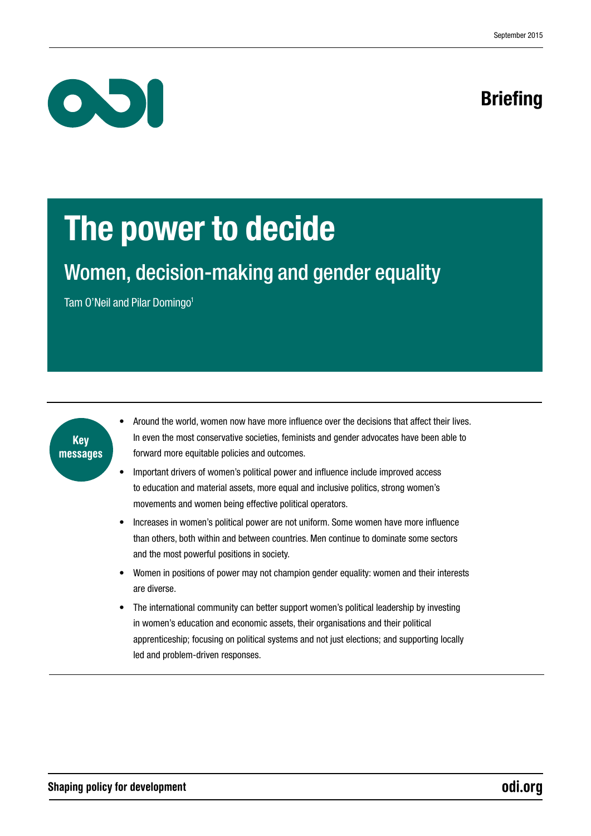

# Briefing

# The power to decide

# Women, decision-making and gender equality

Tam O'Neil and Pilar Domingo<sup>1</sup>



- Around the world, women now have more influence over the decisions that affect their lives. In even the most conservative societies, feminists and gender advocates have been able to forward more equitable policies and outcomes.
- Important drivers of women's political power and influence include improved access to education and material assets, more equal and inclusive politics, strong women's movements and women being effective political operators.
- Increases in women's political power are not uniform. Some women have more influence than others, both within and between countries. Men continue to dominate some sectors and the most powerful positions in society.
- Women in positions of power may not champion gender equality: women and their interests are diverse.
- The international community can better support women's political leadership by investing in women's education and economic assets, their organisations and their political apprenticeship; focusing on political systems and not just elections; and supporting locally led and problem-driven responses.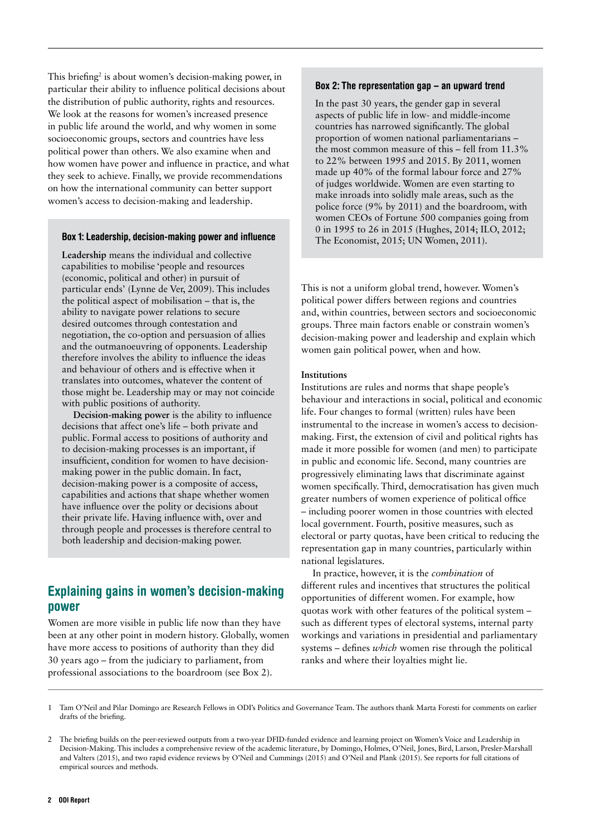This briefing<sup>2</sup> is about women's decision-making power, in particular their ability to influence political decisions about the distribution of public authority, rights and resources. We look at the reasons for women's increased presence in public life around the world, and why women in some socioeconomic groups, sectors and countries have less political power than others. We also examine when and how women have power and influence in practice, and what they seek to achieve. Finally, we provide recommendations on how the international community can better support women's access to decision-making and leadership.

### Box 1: Leadership, decision-making power and influence

**Leadership** means the individual and collective capabilities to mobilise 'people and resources (economic, political and other) in pursuit of particular ends' (Lynne de Ver, 2009). This includes the political aspect of mobilisation – that is, the ability to navigate power relations to secure desired outcomes through contestation and negotiation, the co-option and persuasion of allies and the outmanoeuvring of opponents. Leadership therefore involves the ability to influence the ideas and behaviour of others and is effective when it translates into outcomes, whatever the content of those might be. Leadership may or may not coincide with public positions of authority.

**Decision-making power** is the ability to influence decisions that affect one's life – both private and public. Formal access to positions of authority and to decision-making processes is an important, if insufficient, condition for women to have decisionmaking power in the public domain. In fact, decision-making power is a composite of access, capabilities and actions that shape whether women have influence over the polity or decisions about their private life. Having influence with, over and through people and processes is therefore central to both leadership and decision-making power.

# Explaining gains in women's decision-making power

Women are more visible in public life now than they have been at any other point in modern history. Globally, women have more access to positions of authority than they did 30 years ago – from the judiciary to parliament, from professional associations to the boardroom (see Box 2).

#### Box 2: The representation gap – an upward trend

In the past 30 years, the gender gap in several aspects of public life in low- and middle-income countries has narrowed significantly. The global proportion of women national parliamentarians – the most common measure of this – fell from 11.3% to 22% between 1995 and 2015. By 2011, women made up 40% of the formal labour force and 27% of judges worldwide. Women are even starting to make inroads into solidly male areas, such as the police force (9% by 2011) and the boardroom, with women CEOs of Fortune 500 companies going from 0 in 1995 to 26 in 2015 (Hughes, 2014; ILO, 2012; The Economist, 2015; UN Women, 2011).

This is not a uniform global trend, however. Women's political power differs between regions and countries and, within countries, between sectors and socioeconomic groups. Three main factors enable or constrain women's decision-making power and leadership and explain which women gain political power, when and how.

#### **Institutions**

Institutions are rules and norms that shape people's behaviour and interactions in social, political and economic life. Four changes to formal (written) rules have been instrumental to the increase in women's access to decisionmaking. First, the extension of civil and political rights has made it more possible for women (and men) to participate in public and economic life. Second, many countries are progressively eliminating laws that discriminate against women specifically. Third, democratisation has given much greater numbers of women experience of political office – including poorer women in those countries with elected local government. Fourth, positive measures, such as electoral or party quotas, have been critical to reducing the representation gap in many countries, particularly within national legislatures.

In practice, however, it is the *combination* of different rules and incentives that structures the political opportunities of different women. For example, how quotas work with other features of the political system – such as different types of electoral systems, internal party workings and variations in presidential and parliamentary systems – defines *which* women rise through the political ranks and where their loyalties might lie.

<sup>1</sup> Tam O'Neil and Pilar Domingo are Research Fellows in ODI's Politics and Governance Team. The authors thank Marta Foresti for comments on earlier drafts of the briefing.

<sup>2</sup> The briefing builds on the peer-reviewed outputs from a two-year DFID-funded evidence and learning project on Women's Voice and Leadership in Decision-Making. This includes a comprehensive review of the academic literature, by Domingo, Holmes, O'Neil, Jones, Bird, Larson, Presler-Marshall and Valters (2015), and two rapid evidence reviews by O'Neil and Cummings (2015) and O'Neil and Plank (2015). See reports for full citations of empirical sources and methods.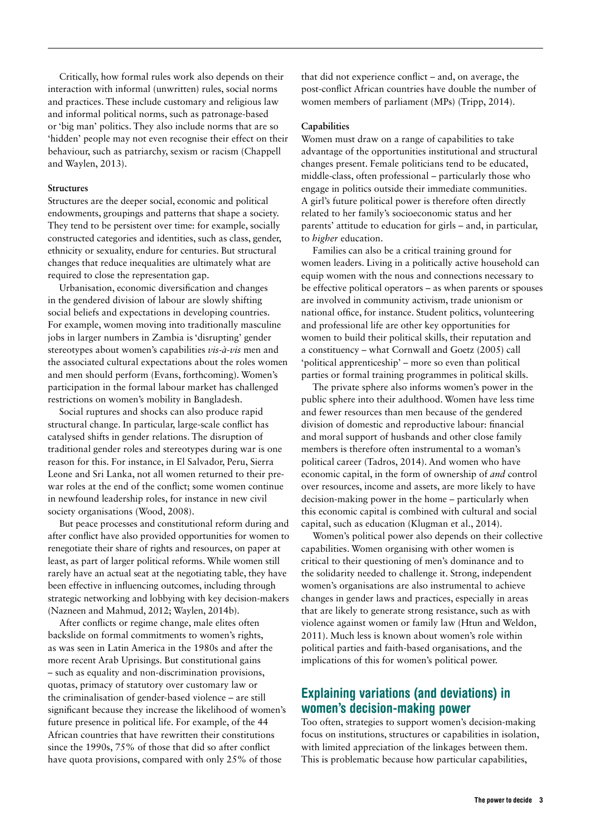Critically, how formal rules work also depends on their interaction with informal (unwritten) rules, social norms and practices. These include customary and religious law and informal political norms, such as patronage-based or 'big man' politics. They also include norms that are so 'hidden' people may not even recognise their effect on their behaviour, such as patriarchy, sexism or racism (Chappell and Waylen, 2013).

### **Structures**

Structures are the deeper social, economic and political endowments, groupings and patterns that shape a society. They tend to be persistent over time: for example, socially constructed categories and identities, such as class, gender, ethnicity or sexuality, endure for centuries. But structural changes that reduce inequalities are ultimately what are required to close the representation gap.

Urbanisation, economic diversification and changes in the gendered division of labour are slowly shifting social beliefs and expectations in developing countries. For example, women moving into traditionally masculine jobs in larger numbers in Zambia is 'disrupting' gender stereotypes about women's capabilities *vis-à-vis* men and the associated cultural expectations about the roles women and men should perform (Evans, forthcoming). Women's participation in the formal labour market has challenged restrictions on women's mobility in Bangladesh.

Social ruptures and shocks can also produce rapid structural change. In particular, large-scale conflict has catalysed shifts in gender relations. The disruption of traditional gender roles and stereotypes during war is one reason for this. For instance, in El Salvador, Peru, Sierra Leone and Sri Lanka, not all women returned to their prewar roles at the end of the conflict; some women continue in newfound leadership roles, for instance in new civil society organisations (Wood, 2008).

But peace processes and constitutional reform during and after conflict have also provided opportunities for women to renegotiate their share of rights and resources, on paper at least, as part of larger political reforms. While women still rarely have an actual seat at the negotiating table, they have been effective in influencing outcomes, including through strategic networking and lobbying with key decision-makers (Nazneen and Mahmud, 2012; Waylen, 2014b).

After conflicts or regime change, male elites often backslide on formal commitments to women's rights, as was seen in Latin America in the 1980s and after the more recent Arab Uprisings. But constitutional gains – such as equality and non-discrimination provisions, quotas, primacy of statutory over customary law or the criminalisation of gender-based violence – are still significant because they increase the likelihood of women's future presence in political life. For example, of the 44 African countries that have rewritten their constitutions since the 1990s, 75% of those that did so after conflict have quota provisions, compared with only 25% of those

that did not experience conflict – and, on average, the post-conflict African countries have double the number of women members of parliament (MPs) (Tripp, 2014).

#### **Capabilities**

Women must draw on a range of capabilities to take advantage of the opportunities institutional and structural changes present. Female politicians tend to be educated, middle-class, often professional – particularly those who engage in politics outside their immediate communities. A girl's future political power is therefore often directly related to her family's socioeconomic status and her parents' attitude to education for girls – and, in particular, to *higher* education.

Families can also be a critical training ground for women leaders. Living in a politically active household can equip women with the nous and connections necessary to be effective political operators – as when parents or spouses are involved in community activism, trade unionism or national office, for instance. Student politics, volunteering and professional life are other key opportunities for women to build their political skills, their reputation and a constituency – what Cornwall and Goetz (2005) call 'political apprenticeship' – more so even than political parties or formal training programmes in political skills.

The private sphere also informs women's power in the public sphere into their adulthood. Women have less time and fewer resources than men because of the gendered division of domestic and reproductive labour: financial and moral support of husbands and other close family members is therefore often instrumental to a woman's political career (Tadros, 2014). And women who have economic capital, in the form of ownership of *and* control over resources, income and assets, are more likely to have decision-making power in the home – particularly when this economic capital is combined with cultural and social capital, such as education (Klugman et al., 2014).

Women's political power also depends on their collective capabilities. Women organising with other women is critical to their questioning of men's dominance and to the solidarity needed to challenge it. Strong, independent women's organisations are also instrumental to achieve changes in gender laws and practices, especially in areas that are likely to generate strong resistance, such as with violence against women or family law (Htun and Weldon, 2011). Much less is known about women's role within political parties and faith-based organisations, and the implications of this for women's political power.

# Explaining variations (and deviations) in women's decision-making power

Too often, strategies to support women's decision-making focus on institutions, structures or capabilities in isolation, with limited appreciation of the linkages between them. This is problematic because how particular capabilities,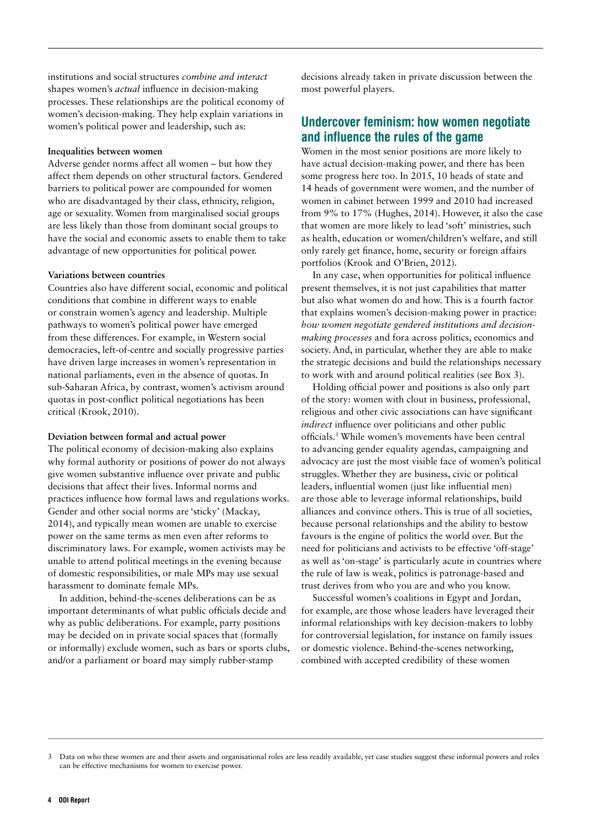institutions and social structures *combine and interact*  shapes women's *actual* influence in decision-making processes. These relationships are the political economy of women's decision-making. They help explain variations in women's political power and leadership, such as:

### **Inequalities between women**

Adverse gender norms affect all women – but how they affect them depends on other structural factors. Gendered barriers to political power are compounded for women who are disadvantaged by their class, ethnicity, religion, age or sexuality. Women from marginalised social groups are less likely than those from dominant social groups to have the social and economic assets to enable them to take advantage of new opportunities for political power.

### **Variations between countries**

Countries also have different social, economic and political conditions that combine in different ways to enable or constrain women's agency and leadership. Multiple pathways to women's political power have emerged from these differences. For example, in Western social democracies, left-of-centre and socially progressive parties have driven large increases in women's representation in national parliaments, even in the absence of quotas. In sub-Saharan Africa, by contrast, women's activism around quotas in post-conflict political negotiations has been critical (Krook, 2010).

## **Deviation between formal and actual power**

The political economy of decision-making also explains why formal authority or positions of power do not always give women substantive influence over private and public decisions that affect their lives. Informal norms and practices influence how formal laws and regulations works. Gender and other social norms are 'sticky' (Mackay, 2014), and typically mean women are unable to exercise power on the same terms as men even after reforms to discriminatory laws. For example, women activists may be unable to attend political meetings in the evening because of domestic responsibilities, or male MPs may use sexual harassment to dominate female MPs.

In addition, behind-the-scenes deliberations can be as important determinants of what public officials decide and why as public deliberations. For example, party positions may be decided on in private social spaces that (formally or informally) exclude women, such as bars or sports clubs, and/or a parliament or board may simply rubber-stamp

decisions already taken in private discussion between the most powerful players.

# Undercover feminism: how women negotiate and influence the rules of the game

Women in the most senior positions are more likely to have actual decision-making power, and there has been some progress here too. In 2015, 10 heads of state and 14 heads of government were women, and the number of women in cabinet between 1999 and 2010 had increased from 9% to 17% (Hughes, 2014). However, it also the case that women are more likely to lead 'soft' ministries, such as health, education or women/children's welfare, and still only rarely get finance, home, security or foreign affairs portfolios (Krook and O'Brien, 2012).

In any case, when opportunities for political influence present themselves, it is not just capabilities that matter but also what women do and how. This is a fourth factor that explains women's decision-making power in practice: *how women negotiate gendered institutions and decisionmaking processes* and fora across politics, economics and society. And, in particular, whether they are able to make the strategic decisions and build the relationships necessary to work with and around political realities (see Box 3).

Holding official power and positions is also only part of the story: women with clout in business, professional, religious and other civic associations can have significant *indirect* influence over politicians and other public officials.3 While women's movements have been central to advancing gender equality agendas, campaigning and advocacy are just the most visible face of women's political struggles. Whether they are business, civic or political leaders, influential women (just like influential men) are those able to leverage informal relationships, build alliances and convince others. This is true of all societies, because personal relationships and the ability to bestow favours is the engine of politics the world over. But the need for politicians and activists to be effective 'off-stage' as well as 'on-stage' is particularly acute in countries where the rule of law is weak, politics is patronage-based and trust derives from who you are and who you know.

Successful women's coalitions in Egypt and Jordan, for example, are those whose leaders have leveraged their informal relationships with key decision-makers to lobby for controversial legislation, for instance on family issues or domestic violence. Behind-the-scenes networking, combined with accepted credibility of these women

Data on who these women are and their assets and organisational roles are less readily available, yet case studies suggest these informal powers and roles can be effective mechanisms for women to exercise power.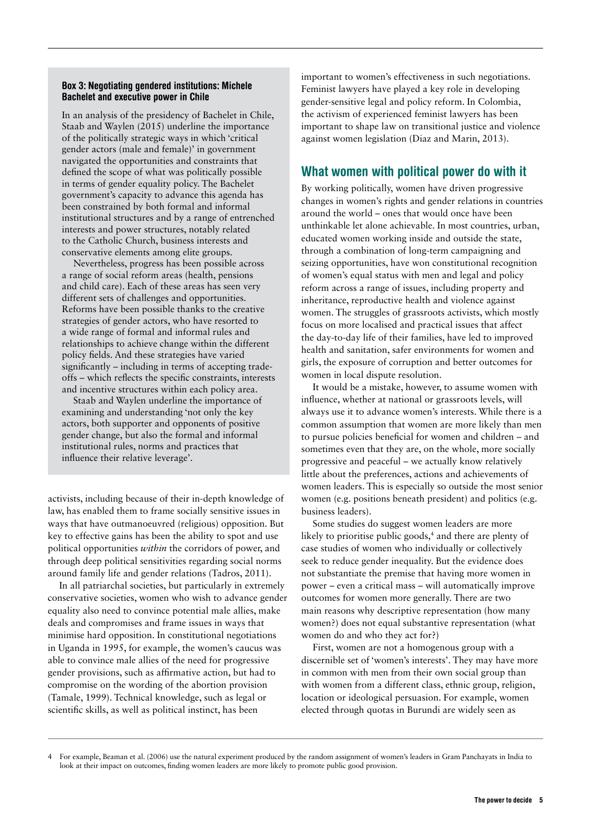## Box 3: Negotiating gendered institutions: Michele Bachelet and executive power in Chile

In an analysis of the presidency of Bachelet in Chile, Staab and Waylen (2015) underline the importance of the politically strategic ways in which 'critical gender actors (male and female)' in government navigated the opportunities and constraints that defined the scope of what was politically possible in terms of gender equality policy. The Bachelet government's capacity to advance this agenda has been constrained by both formal and informal institutional structures and by a range of entrenched interests and power structures, notably related to the Catholic Church, business interests and conservative elements among elite groups.

Nevertheless, progress has been possible across a range of social reform areas (health, pensions and child care). Each of these areas has seen very different sets of challenges and opportunities. Reforms have been possible thanks to the creative strategies of gender actors, who have resorted to a wide range of formal and informal rules and relationships to achieve change within the different policy fields. And these strategies have varied significantly – including in terms of accepting tradeoffs – which reflects the specific constraints, interests and incentive structures within each policy area.

Staab and Waylen underline the importance of examining and understanding 'not only the key actors, both supporter and opponents of positive gender change, but also the formal and informal institutional rules, norms and practices that influence their relative leverage'.

activists, including because of their in-depth knowledge of law, has enabled them to frame socially sensitive issues in ways that have outmanoeuvred (religious) opposition. But key to effective gains has been the ability to spot and use political opportunities *within* the corridors of power, and through deep political sensitivities regarding social norms around family life and gender relations (Tadros, 2011).

In all patriarchal societies, but particularly in extremely conservative societies, women who wish to advance gender equality also need to convince potential male allies, make deals and compromises and frame issues in ways that minimise hard opposition. In constitutional negotiations in Uganda in 1995, for example, the women's caucus was able to convince male allies of the need for progressive gender provisions, such as affirmative action, but had to compromise on the wording of the abortion provision (Tamale, 1999). Technical knowledge, such as legal or scientific skills, as well as political instinct, has been

important to women's effectiveness in such negotiations. Feminist lawyers have played a key role in developing gender-sensitive legal and policy reform. In Colombia, the activism of experienced feminist lawyers has been important to shape law on transitional justice and violence against women legislation (Diaz and Marin, 2013).

# What women with political power do with it

By working politically, women have driven progressive changes in women's rights and gender relations in countries around the world – ones that would once have been unthinkable let alone achievable. In most countries, urban, educated women working inside and outside the state, through a combination of long-term campaigning and seizing opportunities, have won constitutional recognition of women's equal status with men and legal and policy reform across a range of issues, including property and inheritance, reproductive health and violence against women. The struggles of grassroots activists, which mostly focus on more localised and practical issues that affect the day-to-day life of their families, have led to improved health and sanitation, safer environments for women and girls, the exposure of corruption and better outcomes for women in local dispute resolution.

It would be a mistake, however, to assume women with influence, whether at national or grassroots levels, will always use it to advance women's interests. While there is a common assumption that women are more likely than men to pursue policies beneficial for women and children – and sometimes even that they are, on the whole, more socially progressive and peaceful – we actually know relatively little about the preferences, actions and achievements of women leaders. This is especially so outside the most senior women (e.g. positions beneath president) and politics (e.g. business leaders).

Some studies do suggest women leaders are more likely to prioritise public goods,<sup>4</sup> and there are plenty of case studies of women who individually or collectively seek to reduce gender inequality. But the evidence does not substantiate the premise that having more women in power – even a critical mass – will automatically improve outcomes for women more generally. There are two main reasons why descriptive representation (how many women?) does not equal substantive representation (what women do and who they act for?)

First, women are not a homogenous group with a discernible set of 'women's interests'. They may have more in common with men from their own social group than with women from a different class, ethnic group, religion, location or ideological persuasion. For example, women elected through quotas in Burundi are widely seen as

<sup>4</sup> For example, Beaman et al. (2006) use the natural experiment produced by the random assignment of women's leaders in Gram Panchayats in India to look at their impact on outcomes, finding women leaders are more likely to promote public good provision.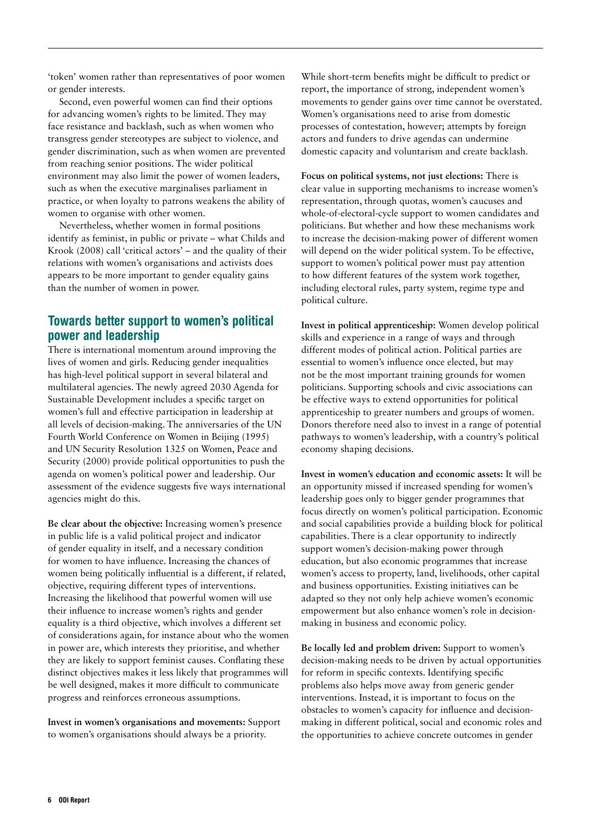'token' women rather than representatives of poor women or gender interests.

Second, even powerful women can find their options for advancing women's rights to be limited. They may face resistance and backlash, such as when women who transgress gender stereotypes are subject to violence, and gender discrimination, such as when women are prevented from reaching senior positions. The wider political environment may also limit the power of women leaders, such as when the executive marginalises parliament in practice, or when loyalty to patrons weakens the ability of women to organise with other women.

Nevertheless, whether women in formal positions identify as feminist, in public or private – what Childs and Krook (2008) call 'critical actors' – and the quality of their relations with women's organisations and activists does appears to be more important to gender equality gains than the number of women in power.

# Towards better support to women's political power and leadership

There is international momentum around improving the lives of women and girls. Reducing gender inequalities has high-level political support in several bilateral and multilateral agencies. The newly agreed 2030 Agenda for Sustainable Development includes a specific target on women's full and effective participation in leadership at all levels of decision-making. The anniversaries of the UN Fourth World Conference on Women in Beijing (1995) and UN Security Resolution 1325 on Women, Peace and Security (2000) provide political opportunities to push the agenda on women's political power and leadership. Our assessment of the evidence suggests five ways international agencies might do this.

**Be clear about the objective:** Increasing women's presence in public life is a valid political project and indicator of gender equality in itself, and a necessary condition for women to have influence. Increasing the chances of women being politically influential is a different, if related, objective, requiring different types of interventions. Increasing the likelihood that powerful women will use their influence to increase women's rights and gender equality is a third objective, which involves a different set of considerations again, for instance about who the women in power are, which interests they prioritise, and whether they are likely to support feminist causes. Conflating these distinct objectives makes it less likely that programmes will be well designed, makes it more difficult to communicate progress and reinforces erroneous assumptions.

**Invest in women's organisations and movements:** Support to women's organisations should always be a priority.

While short-term benefits might be difficult to predict or report, the importance of strong, independent women's movements to gender gains over time cannot be overstated. Women's organisations need to arise from domestic processes of contestation, however; attempts by foreign actors and funders to drive agendas can undermine domestic capacity and voluntarism and create backlash.

**Focus on political systems, not just elections:** There is clear value in supporting mechanisms to increase women's representation, through quotas, women's caucuses and whole-of-electoral-cycle support to women candidates and politicians. But whether and how these mechanisms work to increase the decision-making power of different women will depend on the wider political system. To be effective, support to women's political power must pay attention to how different features of the system work together, including electoral rules, party system, regime type and political culture.

**Invest in political apprenticeship:** Women develop political skills and experience in a range of ways and through different modes of political action. Political parties are essential to women's influence once elected, but may not be the most important training grounds for women politicians. Supporting schools and civic associations can be effective ways to extend opportunities for political apprenticeship to greater numbers and groups of women. Donors therefore need also to invest in a range of potential pathways to women's leadership, with a country's political economy shaping decisions.

**Invest in women's education and economic assets:** It will be an opportunity missed if increased spending for women's leadership goes only to bigger gender programmes that focus directly on women's political participation. Economic and social capabilities provide a building block for political capabilities. There is a clear opportunity to indirectly support women's decision-making power through education, but also economic programmes that increase women's access to property, land, livelihoods, other capital and business opportunities. Existing initiatives can be adapted so they not only help achieve women's economic empowerment but also enhance women's role in decisionmaking in business and economic policy.

**Be locally led and problem driven:** Support to women's decision-making needs to be driven by actual opportunities for reform in specific contexts. Identifying specific problems also helps move away from generic gender interventions. Instead, it is important to focus on the obstacles to women's capacity for influence and decisionmaking in different political, social and economic roles and the opportunities to achieve concrete outcomes in gender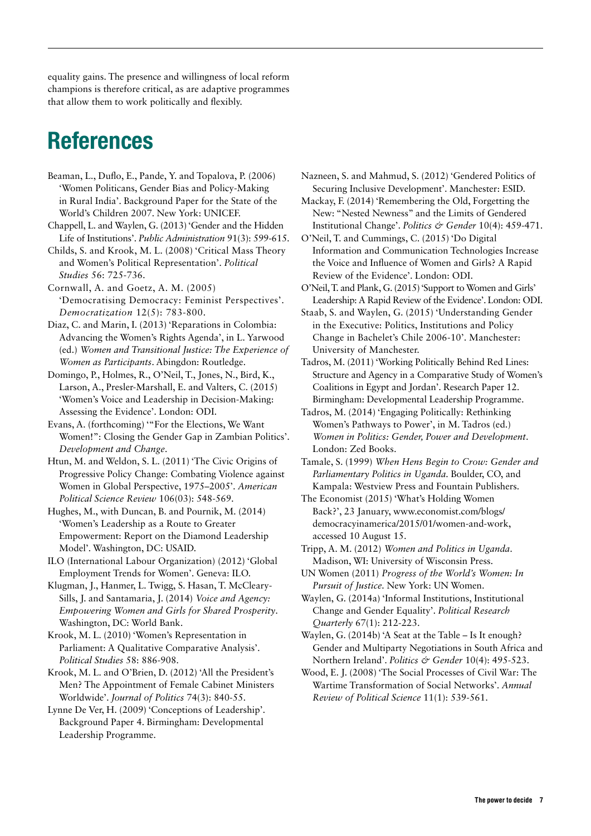equality gains. The presence and willingness of local reform champions is therefore critical, as are adaptive programmes that allow them to work politically and flexibly.

# References

Beaman, L., Duflo, E., Pande, Y. and Topalova, P. (2006) 'Women Politicans, Gender Bias and Policy-Making in Rural India'. Background Paper for the State of the World's Children 2007. New York: UNICEF.

Chappell, L. and Waylen, G. (2013) 'Gender and the Hidden Life of Institutions'. *Public Administration* 91(3): 599-615.

Childs, S. and Krook, M. L. (2008) 'Critical Mass Theory and Women's Political Representation'. *Political Studies* 56: 725-736.

Cornwall, A. and Goetz, A. M. (2005) 'Democratising Democracy: Feminist Perspectives'. *Democratization* 12(5): 783-800.

Diaz, C. and Marin, I. (2013) 'Reparations in Colombia: Advancing the Women's Rights Agenda', in L. Yarwood (ed.) *Women and Transitional Justice: The Experience of Women as Participants*. Abingdon: Routledge.

Domingo, P., Holmes, R., O'Neil, T., Jones, N., Bird, K., Larson, A., Presler-Marshall, E. and Valters, C. (2015) 'Women's Voice and Leadership in Decision-Making: Assessing the Evidence'. London: ODI.

Evans, A. (forthcoming) '"For the Elections, We Want Women!": Closing the Gender Gap in Zambian Politics'. *Development and Change*.

Htun, M. and Weldon, S. L. (2011) 'The Civic Origins of Progressive Policy Change: Combating Violence against Women in Global Perspective, 1975–2005'. *American Political Science Review* 106(03): 548-569.

Hughes, M., with Duncan, B. and Pournik, M. (2014) 'Women's Leadership as a Route to Greater Empowerment: Report on the Diamond Leadership Model'. Washington, DC: USAID.

ILO (International Labour Organization) (2012) 'Global Employment Trends for Women'. Geneva: ILO.

Klugman, J., Hanmer, L. Twigg, S. Hasan, T. McCleary-Sills, J. and Santamaria, J. (2014) *Voice and Agency: Empowering Women and Girls for Shared Prosperity*. Washington, DC: World Bank.

Krook, M. L. (2010) 'Women's Representation in Parliament: A Qualitative Comparative Analysis'. *Political Studies* 58: 886-908.

Krook, M. L. and O'Brien, D. (2012) 'All the President's Men? The Appointment of Female Cabinet Ministers Worldwide'. *Journal of Politics* 74(3): 840-55.

Lynne De Ver, H. (2009) 'Conceptions of Leadership'. Background Paper 4. Birmingham: Developmental Leadership Programme.

Nazneen, S. and Mahmud, S. (2012) 'Gendered Politics of Securing Inclusive Development'. Manchester: ESID.

Mackay, F. (2014) 'Remembering the Old, Forgetting the New: "Nested Newness" and the Limits of Gendered Institutional Change'. *Politics & Gender* 10(4): 459-471.

O'Neil, T. and Cummings, C. (2015) 'Do Digital Information and Communication Technologies Increase the Voice and Influence of Women and Girls? A Rapid Review of the Evidence'. London: ODI.

O'Neil, T. and Plank, G. (2015) 'Support to Women and Girls' Leadership: A Rapid Review of the Evidence'. London: ODI.

Staab, S. and Waylen, G. (2015) 'Understanding Gender in the Executive: Politics, Institutions and Policy Change in Bachelet's Chile 2006-10'. Manchester: University of Manchester.

Tadros, M. (2011) 'Working Politically Behind Red Lines: Structure and Agency in a Comparative Study of Women's Coalitions in Egypt and Jordan'. Research Paper 12. Birmingham: Developmental Leadership Programme.

Tadros, M. (2014) 'Engaging Politically: Rethinking Women's Pathways to Power', in M. Tadros (ed.) *Women in Politics: Gender, Power and Development*. London: Zed Books.

Tamale, S. (1999) *When Hens Begin to Crow: Gender and Parliamentary Politics in Uganda.* Boulder, CO, and Kampala: Westview Press and Fountain Publishers*.*

The Economist (2015) 'What's Holding Women Back?', 23 January, [www.economist.com/blogs/](http://www.economist.com/blogs/democracyinamerica/2015/01/women-and-work) [democracyinamerica/2015/01/women-and-work](http://www.economist.com/blogs/democracyinamerica/2015/01/women-and-work), accessed 10 August 15.

Tripp, A. M. (2012) *Women and Politics in Uganda*. Madison, WI: University of Wisconsin Press.

UN Women (2011) *Progress of the World's Women: In Pursuit of Justice.* New York: UN Women.

Waylen, G. (2014a) 'Informal Institutions, Institutional Change and Gender Equality'. *Political Research Quarterly* 67(1): 212-223.

Waylen, G. (2014b) 'A Seat at the Table – Is It enough? Gender and Multiparty Negotiations in South Africa and Northern Ireland'. *Politics & Gender* 10(4): 495-523.

Wood, E. J. (2008) 'The Social Processes of Civil War: The Wartime Transformation of Social Networks'. *Annual Review of Political Science* 11(1): 539-561.